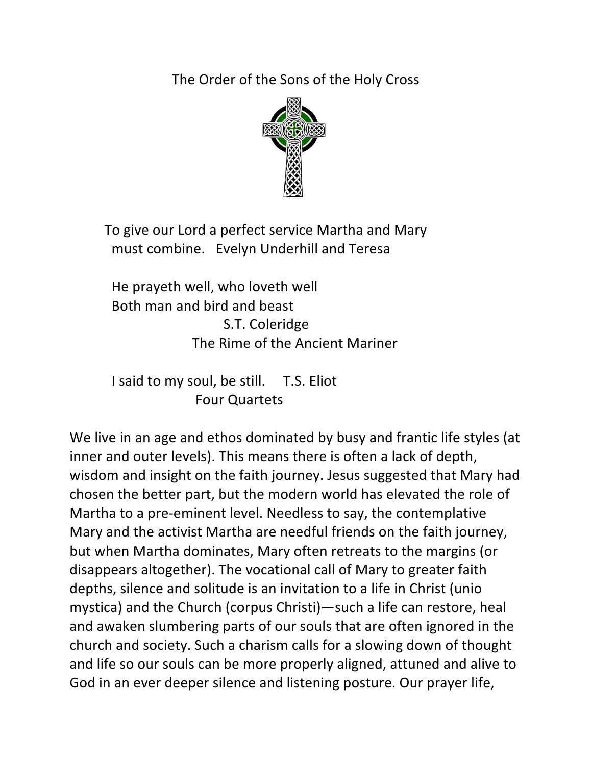The Order of the Sons of the Holy Cross



To give our Lord a perfect service Martha and Mary must combine. Evelyn Underhill and Teresa

He prayeth well, who loveth well Both man and bird and beast S.T. Coleridge The Rime of the Ancient Mariner

I said to my soul, be still. T.S. Eliot Four Quartets

We live in an age and ethos dominated by busy and frantic life styles (at inner and outer levels). This means there is often a lack of depth, wisdom and insight on the faith journey. Jesus suggested that Mary had chosen the better part, but the modern world has elevated the role of Martha to a pre-eminent level. Needless to say, the contemplative Mary and the activist Martha are needful friends on the faith journey, but when Martha dominates, Mary often retreats to the margins (or disappears altogether). The vocational call of Mary to greater faith depths, silence and solitude is an invitation to a life in Christ (unio mystica) and the Church (corpus Christi)—such a life can restore, heal and awaken slumbering parts of our souls that are often ignored in the church and society. Such a charism calls for a slowing down of thought and life so our souls can be more properly aligned, attuned and alive to God in an ever deeper silence and listening posture. Our prayer life,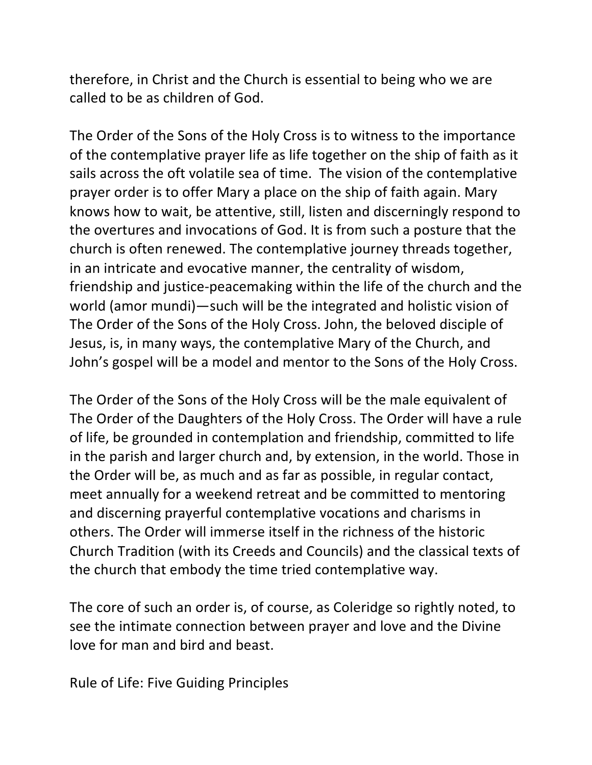therefore, in Christ and the Church is essential to being who we are called to be as children of God.

The Order of the Sons of the Holy Cross is to witness to the importance of the contemplative prayer life as life together on the ship of faith as it sails across the oft volatile sea of time. The vision of the contemplative prayer order is to offer Mary a place on the ship of faith again. Mary knows how to wait, be attentive, still, listen and discerningly respond to the overtures and invocations of God. It is from such a posture that the church is often renewed. The contemplative journey threads together, in an intricate and evocative manner, the centrality of wisdom, friendship and justice-peacemaking within the life of the church and the world (amor mundi)—such will be the integrated and holistic vision of The Order of the Sons of the Holy Cross. John, the beloved disciple of Jesus, is, in many ways, the contemplative Mary of the Church, and John's gospel will be a model and mentor to the Sons of the Holy Cross.

The Order of the Sons of the Holy Cross will be the male equivalent of The Order of the Daughters of the Holy Cross. The Order will have a rule of life, be grounded in contemplation and friendship, committed to life in the parish and larger church and, by extension, in the world. Those in the Order will be, as much and as far as possible, in regular contact, meet annually for a weekend retreat and be committed to mentoring and discerning prayerful contemplative vocations and charisms in others. The Order will immerse itself in the richness of the historic Church Tradition (with its Creeds and Councils) and the classical texts of the church that embody the time tried contemplative way.

The core of such an order is, of course, as Coleridge so rightly noted, to see the intimate connection between prayer and love and the Divine love for man and bird and beast.

Rule of Life: Five Guiding Principles